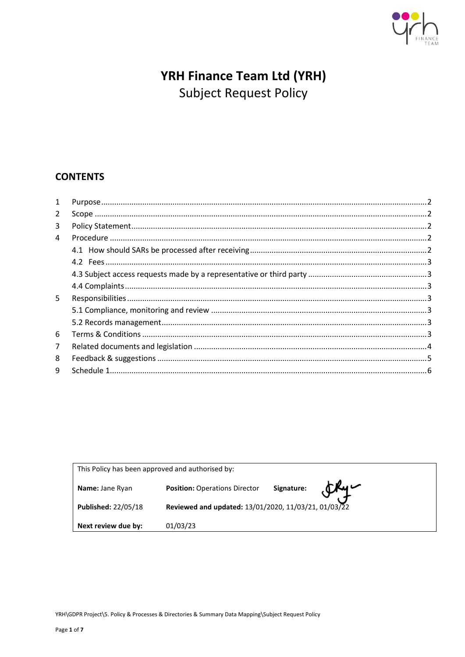

# YRH Finance Team Ltd (YRH) **Subject Request Policy**

# **CONTENTS**

| 1              |  |
|----------------|--|
| $\overline{2}$ |  |
| 3              |  |
| 4              |  |
|                |  |
|                |  |
|                |  |
|                |  |
| 5              |  |
|                |  |
|                |  |
| 6              |  |
| $\overline{7}$ |  |
| 8              |  |
| 9              |  |
|                |  |

| This Policy has been approved and authorised by: |                                                                    |  |  |
|--------------------------------------------------|--------------------------------------------------------------------|--|--|
| Name: Jane Ryan                                  | $E_{\rm eq}$<br>Signature:<br><b>Position: Operations Director</b> |  |  |
| <b>Published: 22/05/18</b>                       | Reviewed and updated: 13/01/2020, 11/03/21, 01/03/22               |  |  |
| Next review due by:                              | 01/03/23                                                           |  |  |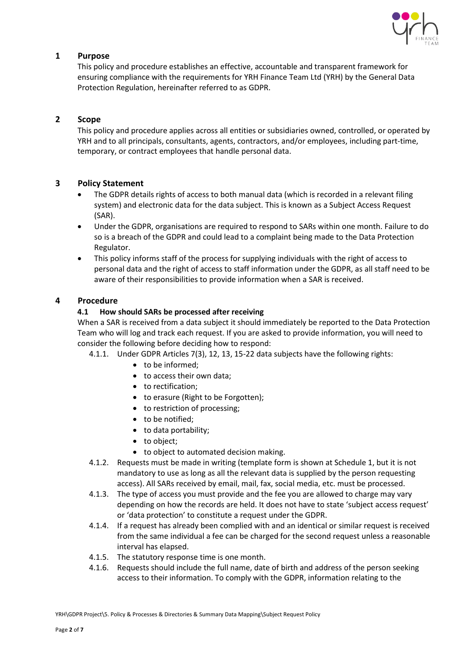

# <span id="page-1-0"></span>**1 Purpose**

This policy and procedure establishes an effective, accountable and transparent framework for ensuring compliance with the requirements for YRH Finance Team Ltd (YRH) by the General Data Protection Regulation, hereinafter referred to as GDPR.

# <span id="page-1-1"></span>**2 Scope**

This policy and procedure applies across all entities or subsidiaries owned, controlled, or operated by YRH and to all principals, consultants, agents, contractors, and/or employees, including part-time, temporary, or contract employees that handle personal data.

# <span id="page-1-2"></span>**3 Policy Statement**

- The GDPR details rights of access to both manual data (which is recorded in a relevant filing system) and electronic data for the data subject. This is known as a Subject Access Request (SAR).
- Under the GDPR, organisations are required to respond to SARs within one month. Failure to do so is a breach of the GDPR and could lead to a complaint being made to the Data Protection Regulator.
- This policy informs staff of the process for supplying individuals with the right of access to personal data and the right of access to staff information under the GDPR, as all staff need to be aware of their responsibilities to provide information when a SAR is received.

# <span id="page-1-4"></span><span id="page-1-3"></span>**4 Procedure**

# **4.1 How should SARs be processed after receiving**

When a SAR is received from a data subject it should immediately be reported to the Data Protection Team who will log and track each request. If you are asked to provide information, you will need to consider the following before deciding how to respond:

4.1.1. Under GDPR Articles 7(3), 12, 13, 15-22 data subjects have the following rights:

- to be informed;
- to access their own data;
- to rectification;
- to erasure (Right to be Forgotten);
- to restriction of processing;
- to be notified;
- to data portability;
- to object;
- to object to automated decision making.
- 4.1.2. Requests must be made in writing (template form is shown at Schedule 1, but it is not mandatory to use as long as all the relevant data is supplied by the person requesting access). All SARs received by email, mail, fax, social media, etc. must be processed.
- 4.1.3. The type of access you must provide and the fee you are allowed to charge may vary depending on how the records are held. It does not have to state 'subject access request' or 'data protection' to constitute a request under the GDPR.
- 4.1.4. If a request has already been complied with and an identical or similar request is received from the same individual a fee can be charged for the second request unless a reasonable interval has elapsed.
- 4.1.5. The statutory response time is one month.
- 4.1.6. Requests should include the full name, date of birth and address of the person seeking access to their information. To comply with the GDPR, information relating to the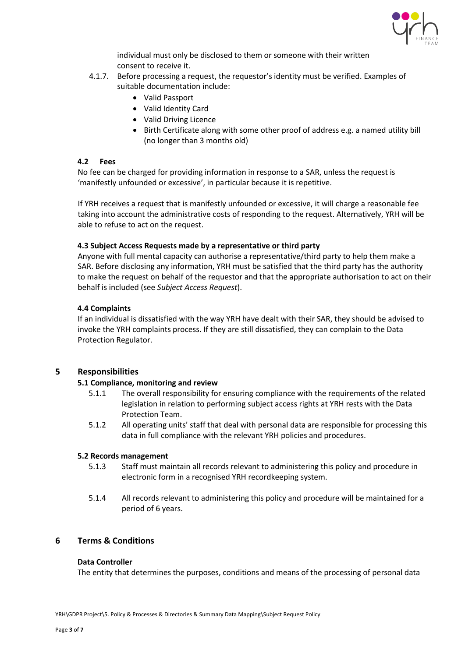

individual must only be disclosed to them or someone with their written consent to receive it.

- 4.1.7. Before processing a request, the requestor's identity must be verified. Examples of suitable documentation include:
	- Valid Passport
	- Valid Identity Card
	- Valid Driving Licence
	- Birth Certificate along with some other proof of address e.g. a named utility bill (no longer than 3 months old)

#### <span id="page-2-0"></span>**4.2 Fees**

No fee can be charged for providing information in response to a SAR, unless the request is 'manifestly unfounded or excessive', in particular because it is repetitive.

If YRH receives a request that is manifestly unfounded or excessive, it will charge a reasonable fee taking into account the administrative costs of responding to the request. Alternatively, YRH will be able to refuse to act on the request.

#### <span id="page-2-1"></span>**4.3 Subject Access Requests made by a representative or third party**

Anyone with full mental capacity can authorise a representative/third party to help them make a SAR. Before disclosing any information, YRH must be satisfied that the third party has the authority to make the request on behalf of the requestor and that the appropriate authorisation to act on their behalf is included (see *Subject Access Request*).

# <span id="page-2-2"></span>**4.4 Complaints**

If an individual is dissatisfied with the way YRH have dealt with their SAR, they should be advised to invoke the YRH complaints process. If they are still dissatisfied, they can complain to the Data Protection Regulator.

# <span id="page-2-4"></span><span id="page-2-3"></span>**5 Responsibilities**

# **5.1 Compliance, monitoring and review**

- 5.1.1 The overall responsibility for ensuring compliance with the requirements of the related legislation in relation to performing subject access rights at YRH rests with the Data Protection Team.
- 5.1.2 All operating units' staff that deal with personal data are responsible for processing this data in full compliance with the relevant YRH policies and procedures.

#### <span id="page-2-5"></span>**5.2 Records management**

- 5.1.3 Staff must maintain all records relevant to administering this policy and procedure in electronic form in a recognised YRH recordkeeping system.
- 5.1.4 All records relevant to administering this policy and procedure will be maintained for a period of 6 years.

# <span id="page-2-6"></span>**6 Terms & Conditions**

#### **Data Controller**

The entity that determines the purposes, conditions and means of the processing of personal data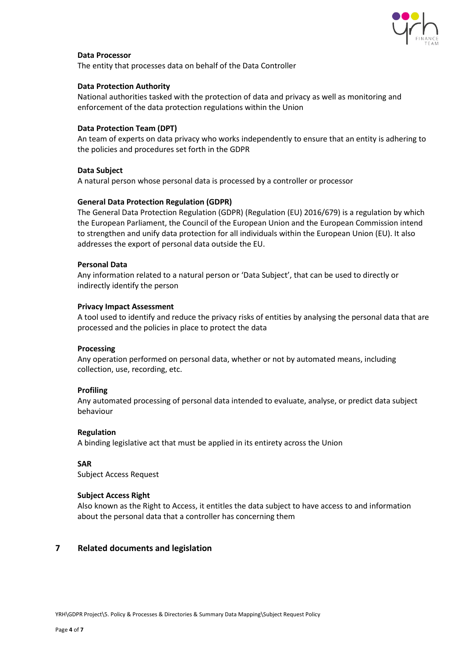

#### **Data Processor**

The entity that processes data on behalf of the Data Controller

#### **Data Protection Authority**

National authorities tasked with the protection of data and privacy as well as monitoring and enforcement of the data protection regulations within the Union

#### **Data Protection Team (DPT)**

An team of experts on data privacy who works independently to ensure that an entity is adhering to the policies and procedures set forth in the GDPR

#### **Data Subject**

A natural person whose personal data is processed by a controller or processor

#### **General Data Protection Regulation (GDPR)**

The General Data Protection Regulation (GDPR) (Regulation (EU) 2016/679) is a regulation by which the European Parliament, the Council of the European Union and the European Commission intend to strengthen and unify data protection for all individuals within the European Union (EU). It also addresses the export of personal data outside the EU.

#### **Personal Data**

Any information related to a natural person or 'Data Subject', that can be used to directly or indirectly identify the person

#### **Privacy Impact Assessment**

A tool used to identify and reduce the privacy risks of entities by analysing the personal data that are processed and the policies in place to protect the data

#### **Processing**

Any operation performed on personal data, whether or not by automated means, including collection, use, recording, etc.

# **Profiling**

Any automated processing of personal data intended to evaluate, analyse, or predict data subject behaviour

#### **Regulation**

A binding legislative act that must be applied in its entirety across the Union

# **SAR**

Subject Access Request

# **Subject Access Right**

Also known as the Right to Access, it entitles the data subject to have access to and information about the personal data that a controller has concerning them

# <span id="page-3-0"></span>**7 Related documents and legislation**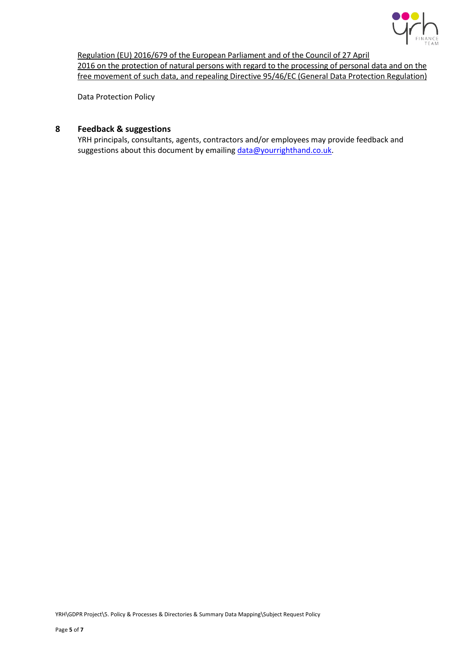

[Regulation \(EU\) 2016/679 of the European Parliament and of the Council of 27 April](http://eur-lex.europa.eu/legal-content/EN/TXT/?uri=CELEX%3A32016R0679)  2016 on the protection of natural persons with regard to the processing of personal data and on the [free movement of such data, and repealing Directive 95/46/EC \(General Data Protection Regulation\)](http://eur-lex.europa.eu/legal-content/EN/TXT/?uri=CELEX%3A32016R0679)

Data Protection Policy

# <span id="page-4-0"></span>**8 Feedback & suggestions**

YRH principals, consultants, agents, contractors and/or employees may provide feedback and suggestions about this document by emailing [data@yourrighthand.co.uk.](mailto:data@yourrighthand.co.uk)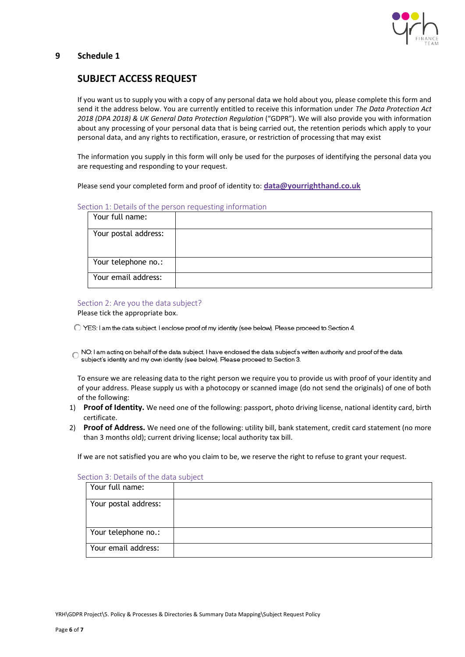

# <span id="page-5-0"></span>**9 Schedule 1**

# **SUBJECT ACCESS REQUEST**

If you want us to supply you with a copy of any personal data we hold about you, please complete this form and send it the address below. You are currently entitled to receive this information under *The Data Protection Act 2018 (DPA 2018) & UK General Data Protection Regulation* ("GDPR"). We will also provide you with information about any processing of your personal data that is being carried out, the retention periods which apply to your personal data, and any rights to rectification, erasure, or restriction of processing that may exist

The information you supply in this form will only be used for the purposes of identifying the personal data you are requesting and responding to your request.

Please send your completed form and proof of identity to: **[data@yourrighthand.co.uk](mailto:data@yourrighthand.co.uk)**

#### Section 1: Details of the person requesting information

| Your full name:      |  |
|----------------------|--|
| Your postal address: |  |
| Your telephone no.:  |  |
| Your email address:  |  |

### Section 2: Are you the data subject?

Please tick the appropriate box.

- ◯ YES: I am the data subject. I enclose proof of my identity (see below). Please proceed to Section 4.
- ľ. subject's identity and my own identity (see below). Please proceed to Section 3.

To ensure we are releasing data to the right person we require you to provide us with proof of your identity and of your address. Please supply us with a photocopy or scanned image (do not send the originals) of one of both of the following:

- 1) **Proof of Identity.** We need one of the following: passport, photo driving license, national identity card, birth certificate.
- 2) **Proof of Address.** We need one of the following: utility bill, bank statement, credit card statement (no more than 3 months old); current driving license; local authority tax bill.

If we are not satisfied you are who you claim to be, we reserve the right to refuse to grant your request.

| Your full name:      |  |
|----------------------|--|
| Your postal address: |  |
| Your telephone no.:  |  |
| Your email address:  |  |

Section 3: Details of the data subject